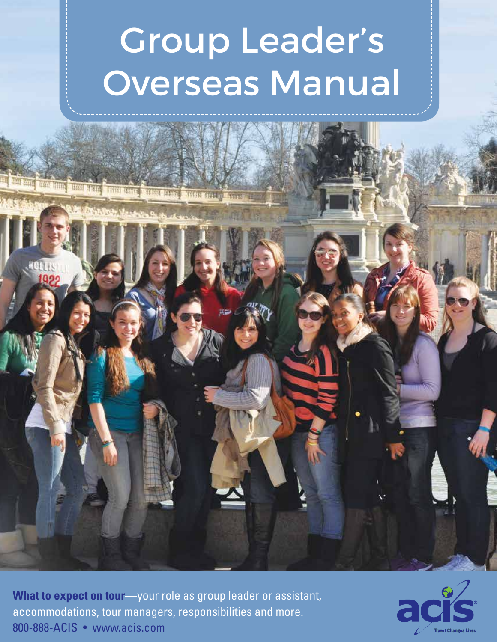# Group Leader's Overseas Manual

**What to expect on tour**—your role as group leader or assistant, accommodations, tour managers, responsibilities and more. 800-888-ACIS • www.acis.com

<u> De Francisco Paradise de la construcción de la construcción de la construcción de la construcción de la construcción de la construcción de la construcción de la construcción de la construcción de la construcción de la co</u>

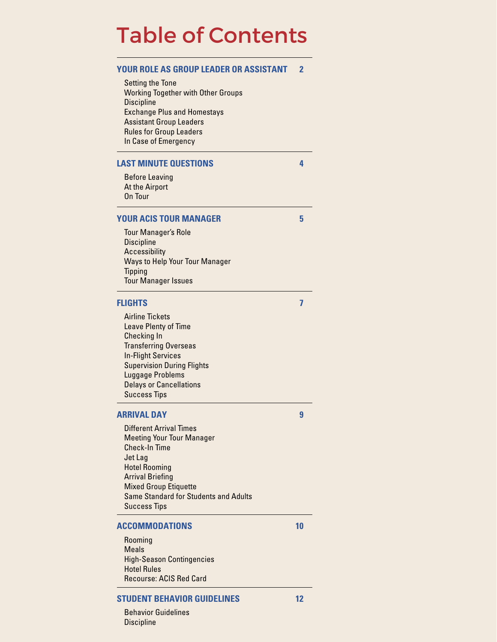### Table of Contents

| YOUR ROLE AS GROUP LEADER OR ASSISTANT<br>Setting the Tone<br><b>Working Together with Other Groups</b><br><b>Discipline</b><br><b>Exchange Plus and Homestays</b><br><b>Assistant Group Leaders</b><br><b>Rules for Group Leaders</b><br>In Case of Emergency  | 2  |
|-----------------------------------------------------------------------------------------------------------------------------------------------------------------------------------------------------------------------------------------------------------------|----|
| <b>LAST MINUTE QUESTIONS</b>                                                                                                                                                                                                                                    | 4  |
| <b>Before Leaving</b><br>At the Airport<br><b>On Tour</b>                                                                                                                                                                                                       |    |
| <b>YOUR ACIS TOUR MANAGER</b>                                                                                                                                                                                                                                   | 5  |
| <b>Tour Manager's Role</b><br><b>Discipline</b><br>Accessibility<br><b>Ways to Help Your Tour Manager</b><br><b>Tipping</b><br><b>Tour Manager Issues</b>                                                                                                       |    |
| <b>FLIGHTS</b>                                                                                                                                                                                                                                                  | 7  |
| <b>Airline Tickets</b><br>Leave Plenty of Time<br>Checking In<br><b>Transferring Overseas</b><br><b>In-Flight Services</b><br><b>Supervision During Flights</b><br>Luggage Problems<br><b>Delays or Cancellations</b><br><b>Success Tips</b>                    |    |
| <b>ARRIVAL DAY</b>                                                                                                                                                                                                                                              | 9  |
| <b>Different Arrival Times</b><br><b>Meeting Your Tour Manager</b><br><b>Check-In Time</b><br>Jet Lag<br><b>Hotel Rooming</b><br><b>Arrival Briefing</b><br><b>Mixed Group Etiquette</b><br><b>Same Standard for Students and Adults</b><br><b>Success Tips</b> |    |
| ACCOMMODATIONS                                                                                                                                                                                                                                                  | 10 |

Rooming Meals High-Season Contingencies Hotel Rules Recourse: ACIS Red Card

#### **STUDENT BEHAVIOR GUIDELINES 12**

Behavior Guidelines **Discipline**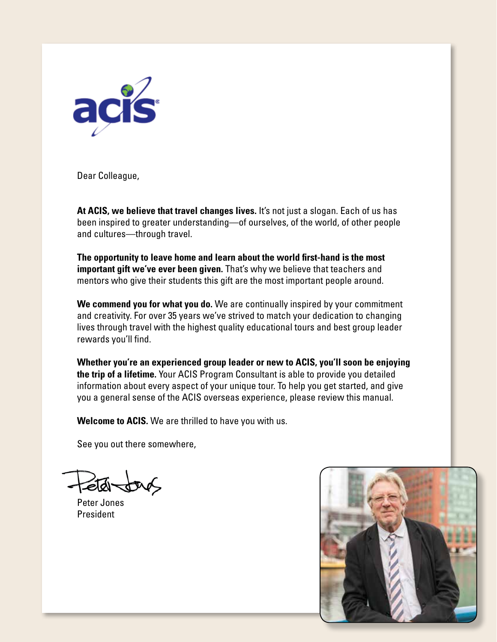

Dear Colleague,

**At ACIS, we believe that travel changes lives.** It's not just a slogan. Each of us has been inspired to greater understanding—of ourselves, of the world, of other people and cultures—through travel.

**The opportunity to leave home and learn about the world first-hand is the most important gift we've ever been given.** That's why we believe that teachers and mentors who give their students this gift are the most important people around.

**We commend you for what you do.** We are continually inspired by your commitment and creativity. For over 35 years we've strived to match your dedication to changing lives through travel with the highest quality educational tours and best group leader rewards you'll find.

**Whether you're an experienced group leader or new to ACIS, you'll soon be enjoying the trip of a lifetime.** Your ACIS Program Consultant is able to provide you detailed information about every aspect of your unique tour. To help you get started, and give you a general sense of the ACIS overseas experience, please review this manual.

**Welcome to ACIS.** We are thrilled to have you with us.

See you out there somewhere,

ৰ্বাৰ্ত্ত-

Peter Jones President

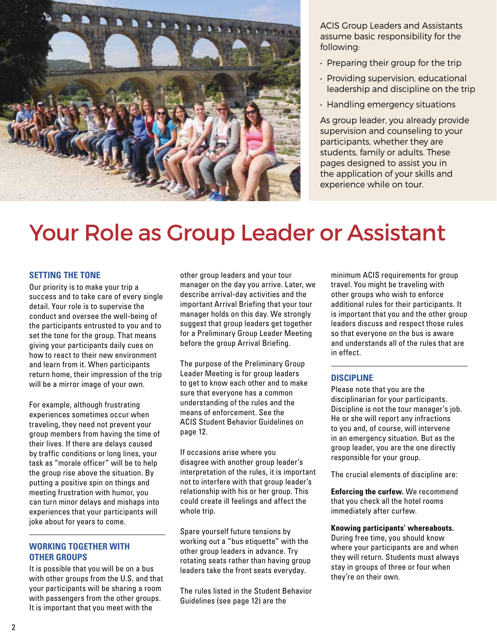

ACIS Group Leaders and Assistants assume basic responsibility for the following:

- Preparing their group for the trip
- Providing supervision, educational leadership and discipline on the trip
- Handling emergency situations

As group leader, you already provide supervision and counseling to your participants, whether they are students, family or adults. These pages designed to assist you in the application of your skills and experience while on tour.

### Your Role as Group Leader or Assistant

#### **SETTING THE TONE**

Our priority is to make your trip a success and to take care of every single detail. Your role is to supervise the conduct and oversee the well-being of the participants entrusted to you and to set the tone for the group. That means giving your participants daily cues on how to react to their new environment and learn from it. When participants return home, their impression of the trip will be a mirror image of your own.

For example, although frustrating experiences sometimes occur when traveling, they need not prevent your group members from having the time of their lives. If there are delays caused by traffic conditions or long lines, your task as "morale officer" will be to help the group rise above the situation. By putting a positive spin on things and meeting frustration with humor, you can turn minor delays and mishaps into experiences that your participants will joke about for years to come.

#### **WORKING TOGETHER WITH OTHER GROUPS**

It is possible that you will be on a bus with other groups from the U.S. and that your participants will be sharing a room with passengers from the other groups. It is important that you meet with the

other group leaders and your tour manager on the day you arrive. Later, we describe arrival-day activities and the important Arrival Briefing that your tour manager holds on this day. We strongly suggest that group leaders get together for a Preliminary Group Leader Meeting before the group Arrival Briefing.

The purpose of the Preliminary Group Leader Meeting is for group leaders to get to know each other and to make sure that everyone has a common understanding of the rules and the means of enforcement. See the ACIS Student Behavior Guidelines on page 12.

If occasions arise where you disagree with another group leader's interpretation of the rules, it is important not to interfere with that group leader's relationship with his or her group. This could create ill feelings and affect the whole trip.

Spare yourself future tensions by working out a "bus etiquette" with the other group leaders in advance. Try rotating seats rather than having group leaders take the front seats everyday.

The rules listed in the Student Behavior Guidelines (see page 12) are the

minimum ACIS requirements for group travel. You might be traveling with other groups who wish to enforce additional rules for their participants. It is important that you and the other group leaders discuss and respect those rules so that everyone on the bus is aware and understands all of the rules that are in effect.

#### **DISCIPLINE**

Please note that you are the disciplinarian for your participants. Discipline is not the tour manager's job. He or she will report any infractions to you and, of course, will intervene in an emergency situation. But as the group leader, you are the one directly responsible for your group.

The crucial elements of discipline are:

**Enforcing the curfew.** We recommend that you check all the hotel rooms immediately after curfew.

**Knowing participants' whereabouts.**

During free time, you should know where your participants are and when they will return. Students must always stay in groups of three or four when they're on their own.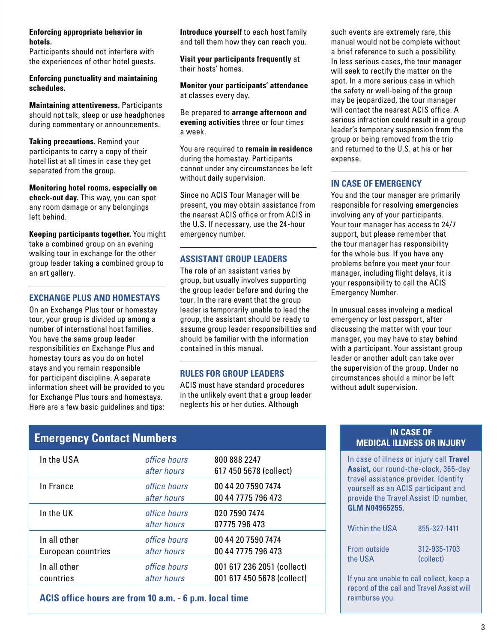#### **Enforcing appropriate behavior in hotels.**

Participants should not interfere with the experiences of other hotel guests.

**Enforcing punctuality and maintaining schedules.**

**Maintaining attentiveness.** Participants should not talk, sleep or use headphones during commentary or announcements.

**Taking precautions.** Remind your participants to carry a copy of their hotel list at all times in case they get separated from the group.

**Monitoring hotel rooms, especially on check-out day.** This way, you can spot any room damage or any belongings left behind.

**Keeping participants together.** You might take a combined group on an evening walking tour in exchange for the other group leader taking a combined group to an art gallery.

#### **EXCHANGE PLUS AND HOMESTAYS**

On an Exchange Plus tour or homestay tour, your group is divided up among a number of international host families. You have the same group leader responsibilities on Exchange Plus and homestay tours as you do on hotel stays and you remain responsible for participant discipline. A separate information sheet will be provided to you for Exchange Plus tours and homestays. Here are a few basic guidelines and tips: **Introduce yourself** to each host family and tell them how they can reach you.

**Visit your participants frequently** at their hosts' homes.

**Monitor your participants' attendance** at classes every day.

Be prepared to **arrange afternoon and evening activities** three or four times a week.

You are required to **remain in residence** during the homestay. Participants cannot under any circumstances be left without daily supervision.

Since no ACIS Tour Manager will be present, you may obtain assistance from the nearest ACIS office or from ACIS in the U.S. If necessary, use the 24-hour emergency number.

#### **ASSISTANT GROUP LEADERS**

The role of an assistant varies by group, but usually involves supporting the group leader before and during the tour. In the rare event that the group leader is temporarily unable to lead the group, the assistant should be ready to assume group leader responsibilities and should be familiar with the information contained in this manual.

#### **RULES FOR GROUP LEADERS**

ACIS must have standard procedures in the unlikely event that a group leader neglects his or her duties. Although

such events are extremely rare, this manual would not be complete without a brief reference to such a possibility. In less serious cases, the tour manager will seek to rectify the matter on the spot. In a more serious case in which the safety or well-being of the group may be jeopardized, the tour manager will contact the nearest ACIS office. A serious infraction could result in a group leader's temporary suspension from the group or being removed from the trip and returned to the U.S. at his or her expense.

#### **IN CASE OF EMERGENCY**

You and the tour manager are primarily responsible for resolving emergencies involving any of your participants. Your tour manager has access to 24/7 support, but please remember that the tour manager has responsibility for the whole bus. If you have any problems before you meet your tour manager, including flight delays, it is your responsibility to call the ACIS Emergency Number.

In unusual cases involving a medical emergency or lost passport, after discussing the matter with your tour manager, you may have to stay behind with a participant. Your assistant group leader or another adult can take over the supervision of the group. Under no circumstances should a minor be left without adult supervision.

### **Emergency Contact Numbers INCASE OF A SECONDED ASSEMBLE PROPERTY CONTACT A**

| In the USA                         | office hours<br>after hours | 800 888 2247<br>617 450 5678 (collect)                   |
|------------------------------------|-----------------------------|----------------------------------------------------------|
| In France                          | office hours<br>after hours | 00 44 20 7590 7474<br>00 44 7775 796 473                 |
| In the UK                          | office hours<br>after hours | 020 7590 7474<br>07775 796 473                           |
| In all other<br>European countries | office hours<br>after hours | 00 44 20 7590 7474<br>00 44 7775 796 473                 |
| In all other<br>countries          | office hours<br>after hours | 001 617 236 2051 (collect)<br>001 617 450 5678 (collect) |

**ACIS office hours are from 10 a.m. - 6 p.m. local time**

### **MEDICAL ILLNESS OR INJURY**

In case of illness or injury call **Travel Assist,** our round-the-clock, 365-day travel assistance provider. Identify yourself as an ACIS participant and provide the Travel Assist ID number, **GLM N04965255.**

| <b>Within the USA</b> | 855-327-1411 |
|-----------------------|--------------|
| From outside          | 312-935-1703 |
| the USA               | (collect)    |

If you are unable to call collect, keep a record of the call and Travel Assist will reimburse you.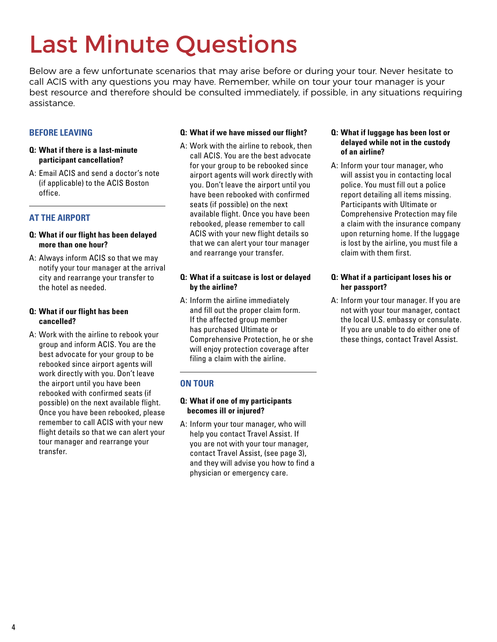## Last Minute Questions

Below are a few unfortunate scenarios that may arise before or during your tour. Never hesitate to call ACIS with any questions you may have. Remember, while on tour your tour manager is your best resource and therefore should be consulted immediately, if possible, in any situations requiring assistance.

#### **BEFORE LEAVING**

#### **Q: What if there is a last-minute participant cancellation?**

A: Email ACIS and send a doctor's note (if applicable) to the ACIS Boston office.

#### **AT THE AIRPORT**

#### **Q: What if our flight has been delayed more than one hour?**

A: Always inform ACIS so that we may notify your tour manager at the arrival city and rearrange your transfer to the hotel as needed.

#### **Q: What if our flight has been cancelled?**

A: Work with the airline to rebook your group and inform ACIS. You are the best advocate for your group to be rebooked since airport agents will work directly with you. Don't leave the airport until you have been rebooked with confirmed seats (if possible) on the next available flight. Once you have been rebooked, please remember to call ACIS with your new flight details so that we can alert your tour manager and rearrange your transfer.

#### **Q: What if we have missed our flight?**

A: Work with the airline to rebook, then call ACIS. You are the best advocate for your group to be rebooked since airport agents will work directly with you. Don't leave the airport until you have been rebooked with confirmed seats (if possible) on the next available flight. Once you have been rebooked, please remember to call ACIS with your new flight details so that we can alert your tour manager and rearrange your transfer.

#### **Q: What if a suitcase is lost or delayed by the airline?**

A: Inform the airline immediately and fill out the proper claim form. If the affected group member has purchased Ultimate or Comprehensive Protection, he or she will enjoy protection coverage after filing a claim with the airline.

#### **ON TOUR**

#### **Q: What if one of my participants becomes ill or injured?**

A: Inform your tour manager, who will help you contact Travel Assist. If you are not with your tour manager, contact Travel Assist, (see page 3), and they will advise you how to find a physician or emergency care.

#### **Q: What if luggage has been lost or delayed while not in the custody of an airline?**

A: Inform your tour manager, who will assist you in contacting local police. You must fill out a police report detailing all items missing. Participants with Ultimate or Comprehensive Protection may file a claim with the insurance company upon returning home. If the luggage is lost by the airline, you must file a claim with them first.

#### **Q: What if a participant loses his or her passport?**

A: Inform your tour manager. If you are not with your tour manager, contact the local U.S. embassy or consulate. If you are unable to do either one of these things, contact Travel Assist.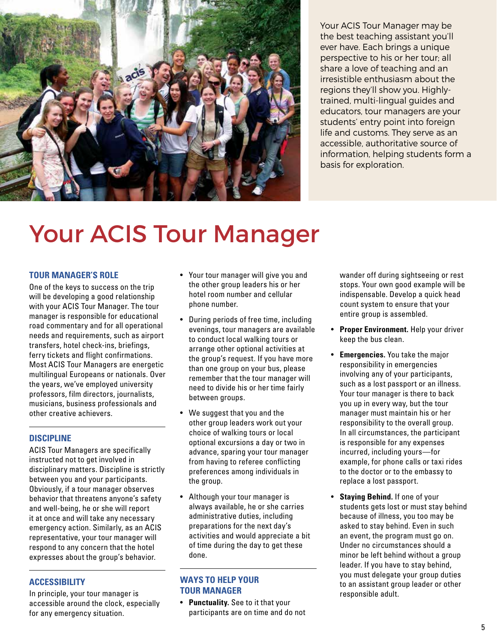

Your ACIS Tour Manager may be the best teaching assistant you'll ever have. Each brings a unique perspective to his or her tour; all share a love of teaching and an irresistible enthusiasm about the regions they'll show you. Highlytrained, multi-lingual guides and educators, tour managers are your students' entry point into foreign life and customs. They serve as an accessible, authoritative source of information, helping students form a basis for exploration.

## Your ACIS Tour Manager

#### **TOUR MANAGER'S ROLE**

One of the keys to success on the trip will be developing a good relationship with your ACIS Tour Manager. The tour manager is responsible for educational road commentary and for all operational needs and requirements, such as airport transfers, hotel check-ins, briefings, ferry tickets and flight confirmations. Most ACIS Tour Managers are energetic multilingual Europeans or nationals. Over the years, we've employed university professors, film directors, journalists, musicians, business professionals and other creative achievers.

#### **DISCIPLINE**

ACIS Tour Managers are specifically instructed not to get involved in disciplinary matters. Discipline is strictly between you and your participants. Obviously, if a tour manager observes behavior that threatens anyone's safety and well-being, he or she will report it at once and will take any necessary emergency action. Similarly, as an ACIS representative, your tour manager will respond to any concern that the hotel expresses about the group's behavior.

#### **ACCESSIBILITY**

In principle, your tour manager is accessible around the clock, especially for any emergency situation.

- Your tour manager will give you and the other group leaders his or her hotel room number and cellular phone number.
- During periods of free time, including evenings, tour managers are available to conduct local walking tours or arrange other optional activities at the group's request. If you have more than one group on your bus, please remember that the tour manager will need to divide his or her time fairly between groups.
- We suggest that you and the other group leaders work out your choice of walking tours or local optional excursions a day or two in advance, sparing your tour manager from having to referee conflicting preferences among individuals in the group.
- Although your tour manager is always available, he or she carries administrative duties, including preparations for the next day's activities and would appreciate a bit of time during the day to get these done.

#### **WAYS TO HELP YOUR TOUR MANAGER**

• **Punctuality.** See to it that your participants are on time and do not wander off during sightseeing or rest stops. Your own good example will be indispensable. Develop a quick head count system to ensure that your entire group is assembled.

- **Proper Environment.** Help your driver keep the bus clean.
- **Emergencies.** You take the major responsibility in emergencies involving any of your participants, such as a lost passport or an illness. Your tour manager is there to back you up in every way, but the tour manager must maintain his or her responsibility to the overall group. In all circumstances, the participant is responsible for any expenses incurred, including yours—for example, for phone calls or taxi rides to the doctor or to the embassy to replace a lost passport.
- **Staying Behind.** If one of your students gets lost or must stay behind because of illness, you too may be asked to stay behind. Even in such an event, the program must go on. Under no circumstances should a minor be left behind without a group leader. If you have to stay behind, you must delegate your group duties to an assistant group leader or other responsible adult.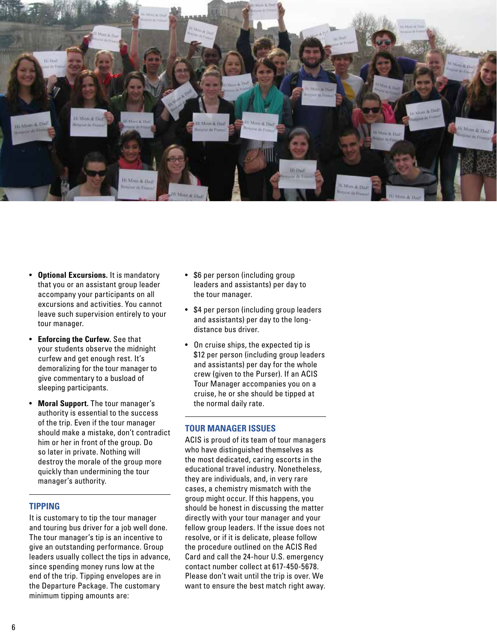

- **Optional Excursions.** It is mandatory that you or an assistant group leader accompany your participants on all excursions and activities. You cannot leave such supervision entirely to your tour manager.
- **Enforcing the Curfew.** See that your students observe the midnight curfew and get enough rest. It's demoralizing for the tour manager to give commentary to a busload of sleeping participants.
- **Moral Support.** The tour manager's authority is essential to the success of the trip. Even if the tour manager should make a mistake, don't contradict him or her in front of the group. Do so later in private. Nothing will destroy the morale of the group more quickly than undermining the tour manager's authority.

#### **TIPPING**

It is customary to tip the tour manager and touring bus driver for a job well done. The tour manager's tip is an incentive to give an outstanding performance. Group leaders usually collect the tips in advance, since spending money runs low at the end of the trip. Tipping envelopes are in the Departure Package. The customary minimum tipping amounts are:

- \$6 per person (including group leaders and assistants) per day to the tour manager.
- \$4 per person (including group leaders and assistants) per day to the longdistance bus driver.
- On cruise ships, the expected tip is \$12 per person (including group leaders and assistants) per day for the whole crew (given to the Purser). If an ACIS Tour Manager accompanies you on a cruise, he or she should be tipped at the normal daily rate.

#### **TOUR MANAGER ISSUES**

ACIS is proud of its team of tour managers who have distinguished themselves as the most dedicated, caring escorts in the educational travel industry. Nonetheless, they are individuals, and, in very rare cases, a chemistry mismatch with the group might occur. If this happens, you should be honest in discussing the matter directly with your tour manager and your fellow group leaders. If the issue does not resolve, or if it is delicate, please follow the procedure outlined on the ACIS Red Card and call the 24-hour U.S. emergency contact number collect at 617-450-5678. Please don't wait until the trip is over. We want to ensure the best match right away.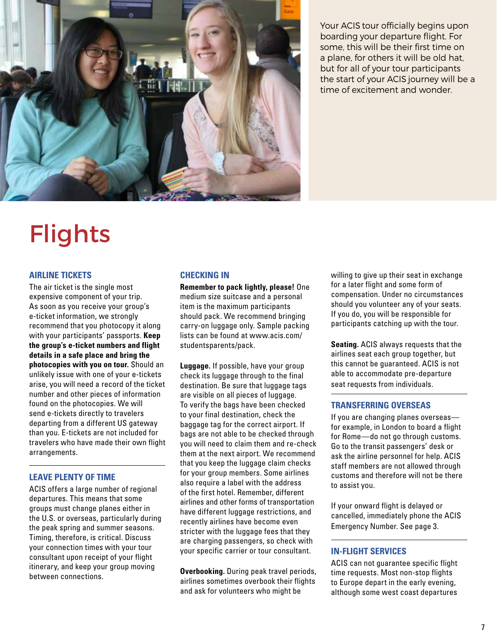

Your ACIS tour officially begins upon boarding your departure flight. For some, this will be their first time on a plane, for others it will be old hat, but for all of your tour participants the start of your ACIS journey will be a time of excitement and wonder.

## **Flights**

#### **AIRLINE TICKETS**

The air ticket is the single most expensive component of your trip. As soon as you receive your group's e-ticket information, we strongly recommend that you photocopy it along with your participants' passports. **Keep the group's e-ticket numbers and flight details in a safe place and bring the photocopies with you on tour.** Should an unlikely issue with one of your e-tickets arise, you will need a record of the ticket number and other pieces of information found on the photocopies. We will send e-tickets directly to travelers departing from a different US gateway than you. E-tickets are not included for travelers who have made their own flight arrangements.

#### **LEAVE PLENTY OF TIME**

ACIS offers a large number of regional departures. This means that some groups must change planes either in the U.S. or overseas, particularly during the peak spring and summer seasons. Timing, therefore, is critical. Discuss your connection times with your tour consultant upon receipt of your flight itinerary, and keep your group moving between connections.

#### **CHECKING IN**

**Remember to pack lightly, please!** One medium size suitcase and a personal item is the maximum participants should pack. We recommend bringing carry-on luggage only. Sample packing lists can be found at www.acis.com/ studentsparents/pack.

**Luggage.** If possible, have your group check its luggage through to the final destination. Be sure that luggage tags are visible on all pieces of luggage. To verify the bags have been checked to your final destination, check the baggage tag for the correct airport. If bags are not able to be checked through you will need to claim them and re-check them at the next airport. We recommend that you keep the luggage claim checks for your group members. Some airlines also require a label with the address of the first hotel. Remember, different airlines and other forms of transportation have different luggage restrictions, and recently airlines have become even stricter with the luggage fees that they are charging passengers, so check with your specific carrier or tour consultant.

**Overbooking.** During peak travel periods, airlines sometimes overbook their flights and ask for volunteers who might be

willing to give up their seat in exchange for a later flight and some form of compensation. Under no circumstances should you volunteer any of your seats. If you do, you will be responsible for participants catching up with the tour.

**Seating.** ACIS always requests that the airlines seat each group together, but this cannot be guaranteed. ACIS is not able to accommodate pre-departure seat requests from individuals.

#### **TRANSFERRING OVERSEAS**

If you are changing planes overseas for example, in London to board a flight for Rome—do not go through customs. Go to the transit passengers' desk or ask the airline personnel for help. ACIS staff members are not allowed through customs and therefore will not be there to assist you.

If your onward flight is delayed or cancelled, immediately phone the ACIS Emergency Number. See page 3.

#### **IN-FLIGHT SERVICES**

ACIS can not guarantee specific flight time requests. Most non-stop flights to Europe depart in the early evening, although some west coast departures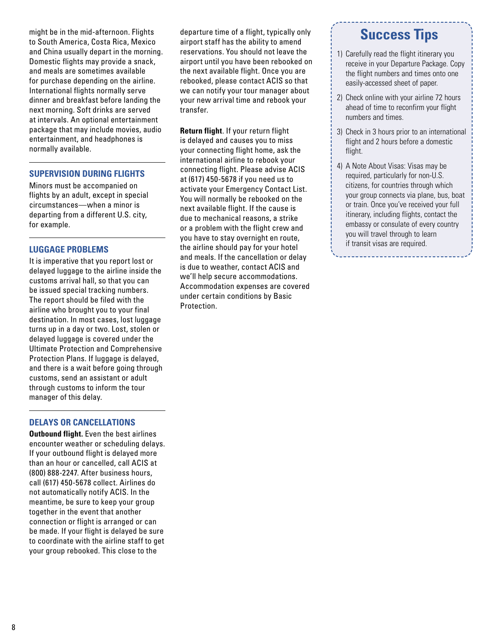might be in the mid-afternoon. Flights to South America, Costa Rica, Mexico and China usually depart in the morning. Domestic flights may provide a snack, and meals are sometimes available for purchase depending on the airline. International flights normally serve dinner and breakfast before landing the next morning. Soft drinks are served at intervals. An optional entertainment package that may include movies, audio entertainment, and headphones is normally available.

#### **SUPERVISION DURING FLIGHTS**

Minors must be accompanied on flights by an adult, except in special circumstances—when a minor is departing from a different U.S. city, for example.

#### **LUGGAGE PROBLEMS**

It is imperative that you report lost or delayed luggage to the airline inside the customs arrival hall, so that you can be issued special tracking numbers. The report should be filed with the airline who brought you to your final destination. In most cases, lost luggage turns up in a day or two. Lost, stolen or delayed luggage is covered under the Ultimate Protection and Comprehensive Protection Plans. If luggage is delayed, and there is a wait before going through customs, send an assistant or adult through customs to inform the tour manager of this delay.

#### **DELAYS OR CANCELLATIONS**

**Outbound flight.** Even the best airlines encounter weather or scheduling delays. If your outbound flight is delayed more than an hour or cancelled, call ACIS at (800) 888-2247. After business hours, call (617) 450-5678 collect. Airlines do not automatically notify ACIS. In the meantime, be sure to keep your group together in the event that another connection or flight is arranged or can be made. If your flight is delayed be sure to coordinate with the airline staff to get your group rebooked. This close to the

departure time of a flight, typically only airport staff has the ability to amend reservations. You should not leave the airport until you have been rebooked on the next available flight. Once you are rebooked, please contact ACIS so that we can notify your tour manager about your new arrival time and rebook your transfer.

**Return flight**. If your return flight is delayed and causes you to miss your connecting flight home, ask the international airline to rebook your connecting flight. Please advise ACIS at (617) 450-5678 if you need us to activate your Emergency Contact List. You will normally be rebooked on the next available flight. If the cause is due to mechanical reasons, a strike or a problem with the flight crew and you have to stay overnight en route, the airline should pay for your hotel and meals. If the cancellation or delay is due to weather, contact ACIS and we'll help secure accommodations. Accommodation expenses are covered under certain conditions by Basic Protection.

### **Success Tips**

- 1) Carefully read the flight itinerary you receive in your Departure Package. Copy the flight numbers and times onto one easily-accessed sheet of paper.
- 2) Check online with your airline 72 hours ahead of time to reconfirm your flight numbers and times.
- 3) Check in 3 hours prior to an international flight and 2 hours before a domestic flight.
- 4) A Note About Visas: Visas may be required, particularly for non-U.S. citizens, for countries through which your group connects via plane, bus, boat or train. Once you've received your full itinerary, including flights, contact the embassy or consulate of every country you will travel through to learn if transit visas are required.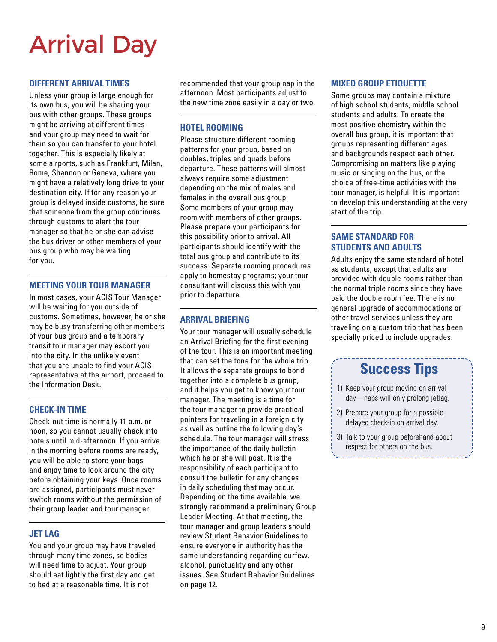## Arrival Day

#### **DIFFERENT ARRIVAL TIMES**

Unless your group is large enough for its own bus, you will be sharing your bus with other groups. These groups might be arriving at different times and your group may need to wait for them so you can transfer to your hotel together. This is especially likely at some airports, such as Frankfurt, Milan, Rome, Shannon or Geneva, where you might have a relatively long drive to your destination city. If for any reason your group is delayed inside customs, be sure that someone from the group continues through customs to alert the tour manager so that he or she can advise the bus driver or other members of your bus group who may be waiting for you.

#### **MEETING YOUR TOUR MANAGER**

In most cases, your ACIS Tour Manager will be waiting for you outside of customs. Sometimes, however, he or she may be busy transferring other members of your bus group and a temporary transit tour manager may escort you into the city. In the unlikely event that you are unable to find your ACIS representative at the airport, proceed to the Information Desk.

#### **CHECK-IN TIME**

Check-out time is normally 11 a.m. or noon, so you cannot usually check into hotels until mid-afternoon. If you arrive in the morning before rooms are ready, you will be able to store your bags and enjoy time to look around the city before obtaining your keys. Once rooms are assigned, participants must never switch rooms without the permission of their group leader and tour manager.

#### **JET LAG**

You and your group may have traveled through many time zones, so bodies will need time to adjust. Your group should eat lightly the first day and get to bed at a reasonable time. It is not

recommended that your group nap in the afternoon. Most participants adjust to the new time zone easily in a day or two.

#### **HOTEL ROOMING**

Please structure different rooming patterns for your group, based on doubles, triples and quads before departure. These patterns will almost always require some adjustment depending on the mix of males and females in the overall bus group. Some members of your group may room with members of other groups. Please prepare your participants for this possibility prior to arrival. All participants should identify with the total bus group and contribute to its success. Separate rooming procedures apply to homestay programs; your tour consultant will discuss this with you prior to departure.

#### **ARRIVAL BRIEFING**

Your tour manager will usually schedule an Arrival Briefing for the first evening of the tour. This is an important meeting that can set the tone for the whole trip. It allows the separate groups to bond together into a complete bus group, and it helps you get to know your tour manager. The meeting is a time for the tour manager to provide practical pointers for traveling in a foreign city as well as outline the following day's schedule. The tour manager will stress the importance of the daily bulletin which he or she will post. It is the responsibility of each participant to consult the bulletin for any changes in daily scheduling that may occur. Depending on the time available, we strongly recommend a preliminary Group Leader Meeting. At that meeting, the tour manager and group leaders should review Student Behavior Guidelines to ensure everyone in authority has the same understanding regarding curfew, alcohol, punctuality and any other issues. See Student Behavior Guidelines on page 12.

#### **MIXED GROUP ETIQUETTE**

Some groups may contain a mixture of high school students, middle school students and adults. To create the most positive chemistry within the overall bus group, it is important that groups representing different ages and backgrounds respect each other. Compromising on matters like playing music or singing on the bus, or the choice of free-time activities with the tour manager, is helpful. It is important to develop this understanding at the very start of the trip.

#### **SAME STANDARD FOR STUDENTS AND ADULTS**

Adults enjoy the same standard of hotel as students, except that adults are provided with double rooms rather than the normal triple rooms since they have paid the double room fee. There is no general upgrade of accommodations or other travel services unless they are traveling on a custom trip that has been specially priced to include upgrades.

### **Success Tips**

- 1) Keep your group moving on arrival day—naps will only prolong jetlag.
- 2) Prepare your group for a possible delayed check-in on arrival day.
- 3) Talk to your group beforehand about respect for others on the bus.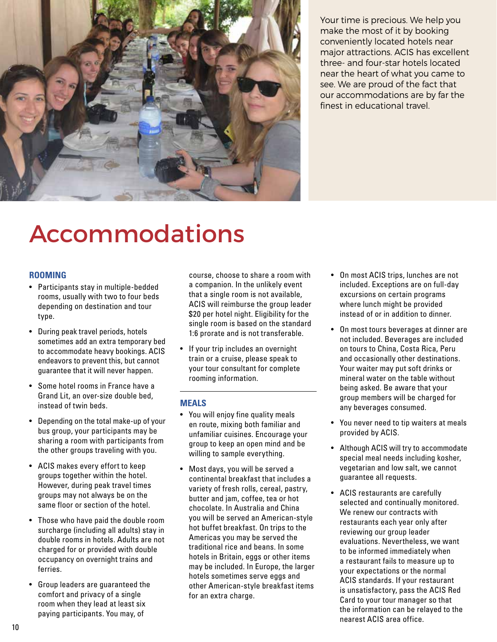

Your time is precious. We help you make the most of it by booking conveniently located hotels near major attractions. ACIS has excellent three- and four-star hotels located near the heart of what you came to see. We are proud of the fact that our accommodations are by far the finest in educational travel.

## Accommodations

#### **ROOMING**

- Participants stay in multiple-bedded rooms, usually with two to four beds depending on destination and tour type.
- During peak travel periods, hotels sometimes add an extra temporary bed to accommodate heavy bookings. ACIS endeavors to prevent this, but cannot guarantee that it will never happen.
- Some hotel rooms in France have a Grand Lit, an over-size double bed, instead of twin beds.
- Depending on the total make-up of your bus group, your participants may be sharing a room with participants from the other groups traveling with you.
- ACIS makes every effort to keep groups together within the hotel. However, during peak travel times groups may not always be on the same floor or section of the hotel.
- Those who have paid the double room surcharge (including all adults) stay in double rooms in hotels. Adults are not charged for or provided with double occupancy on overnight trains and ferries.
- Group leaders are guaranteed the comfort and privacy of a single room when they lead at least six paying participants. You may, of

course, choose to share a room with a companion. In the unlikely event that a single room is not available, ACIS will reimburse the group leader \$20 per hotel night. Eligibility for the single room is based on the standard 1:6 prorate and is not transferable.

• If your trip includes an overnight train or a cruise, please speak to your tour consultant for complete rooming information.

#### **MEALS**

- You will enjoy fine quality meals en route, mixing both familiar and unfamiliar cuisines. Encourage your group to keep an open mind and be willing to sample everything.
- Most days, you will be served a continental breakfast that includes a variety of fresh rolls, cereal, pastry, butter and jam, coffee, tea or hot chocolate. In Australia and China you will be served an American-style hot buffet breakfast. On trips to the Americas you may be served the traditional rice and beans. In some hotels in Britain, eggs or other items may be included. In Europe, the larger hotels sometimes serve eggs and other American-style breakfast items for an extra charge.
- On most ACIS trips, lunches are not included. Exceptions are on full-day excursions on certain programs where lunch might be provided instead of or in addition to dinner.
- On most tours beverages at dinner are not included. Beverages are included on tours to China, Costa Rica, Peru and occasionally other destinations. Your waiter may put soft drinks or mineral water on the table without being asked. Be aware that your group members will be charged for any beverages consumed.
- You never need to tip waiters at meals provided by ACIS.
- Although ACIS will try to accommodate special meal needs including kosher, vegetarian and low salt, we cannot guarantee all requests.
- ACIS restaurants are carefully selected and continually monitored. We renew our contracts with restaurants each year only after reviewing our group leader evaluations. Nevertheless, we want to be informed immediately when a restaurant fails to measure up to your expectations or the normal ACIS standards. If your restaurant is unsatisfactory, pass the ACIS Red Card to your tour manager so that the information can be relayed to the nearest ACIS area office.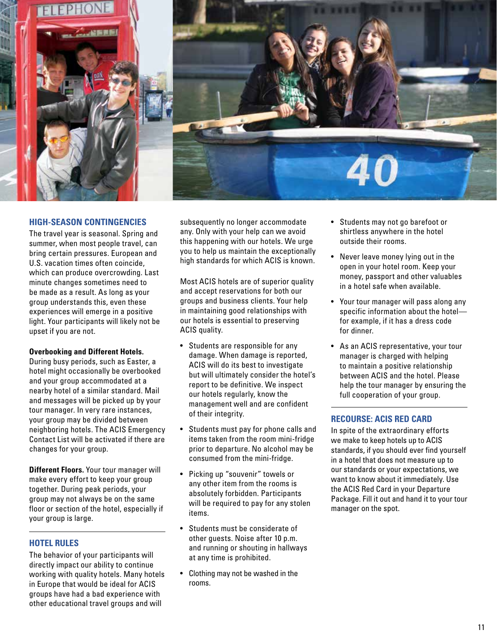

#### **HIGH-SEASON CONTINGENCIES**

The travel year is seasonal. Spring and summer, when most people travel, can bring certain pressures. European and U.S. vacation times often coincide, which can produce overcrowding. Last minute changes sometimes need to be made as a result. As long as your group understands this, even these experiences will emerge in a positive light. Your participants will likely not be upset if you are not.

#### **Overbooking and Different Hotels.**

During busy periods, such as Easter, a hotel might occasionally be overbooked and your group accommodated at a nearby hotel of a similar standard. Mail and messages will be picked up by your tour manager. In very rare instances, your group may be divided between neighboring hotels. The ACIS Emergency Contact List will be activated if there are changes for your group.

**Different Floors.** Your tour manager will make every effort to keep your group together. During peak periods, your group may not always be on the same floor or section of the hotel, especially if your group is large.

#### **HOTEL RULES**

The behavior of your participants will directly impact our ability to continue working with quality hotels. Many hotels in Europe that would be ideal for ACIS groups have had a bad experience with other educational travel groups and will

subsequently no longer accommodate any. Only with your help can we avoid this happening with our hotels. We urge you to help us maintain the exceptionally high standards for which ACIS is known.

Most ACIS hotels are of superior quality and accept reservations for both our groups and business clients. Your help in maintaining good relationships with our hotels is essential to preserving ACIS quality.

- Students are responsible for any damage. When damage is reported, ACIS will do its best to investigate but will ultimately consider the hotel's report to be definitive. We inspect our hotels regularly, know the management well and are confident of their integrity.
- Students must pay for phone calls and items taken from the room mini-fridge prior to departure. No alcohol may be consumed from the mini-fridge.
- Picking up "souvenir" towels or any other item from the rooms is absolutely forbidden. Participants will be required to pay for any stolen items.
- Students must be considerate of other guests. Noise after 10 p.m. and running or shouting in hallways at any time is prohibited.
- Clothing may not be washed in the rooms.
- Students may not go barefoot or shirtless anywhere in the hotel outside their rooms.
- Never leave money lying out in the open in your hotel room. Keep your money, passport and other valuables in a hotel safe when available.
- Your tour manager will pass along any specific information about the hotel for example, if it has a dress code for dinner.
- As an ACIS representative, your tour manager is charged with helping to maintain a positive relationship between ACIS and the hotel. Please help the tour manager by ensuring the full cooperation of your group.

#### **RECOURSE: ACIS RED CARD**

In spite of the extraordinary efforts we make to keep hotels up to ACIS standards, if you should ever find yourself in a hotel that does not measure up to our standards or your expectations, we want to know about it immediately. Use the ACIS Red Card in your Departure Package. Fill it out and hand it to your tour manager on the spot.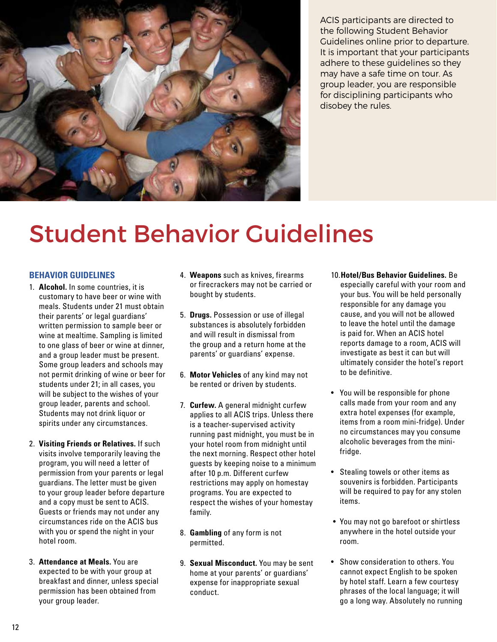

ACIS participants are directed to the following Student Behavior Guidelines online prior to departure. It is important that your participants adhere to these guidelines so they may have a safe time on tour. As group leader, you are responsible for disciplining participants who disobey the rules.

## Student Behavior Guidelines

#### **BEHAVIOR GUIDELINES**

- 1. **Alcohol.** In some countries, it is customary to have beer or wine with meals. Students under 21 must obtain their parents' or legal guardians' written permission to sample beer or wine at mealtime. Sampling is limited to one glass of beer or wine at dinner, and a group leader must be present. Some group leaders and schools may not permit drinking of wine or beer for students under 21; in all cases, you will be subject to the wishes of your group leader, parents and school. Students may not drink liquor or spirits under any circumstances.
- 2. **Visiting Friends or Relatives.** If such visits involve temporarily leaving the program, you will need a letter of permission from your parents or legal guardians. The letter must be given to your group leader before departure and a copy must be sent to ACIS. Guests or friends may not under any circumstances ride on the ACIS bus with you or spend the night in your hotel room.
- 3. **Attendance at Meals.** You are expected to be with your group at breakfast and dinner, unless special permission has been obtained from your group leader.
- 4. **Weapons** such as knives, firearms or firecrackers may not be carried or bought by students.
- 5. **Drugs.** Possession or use of illegal substances is absolutely forbidden and will result in dismissal from the group and a return home at the parents' or guardians' expense.
- 6. **Motor Vehicles** of any kind may not be rented or driven by students.
- 7. **Curfew.** A general midnight curfew applies to all ACIS trips. Unless there is a teacher-supervised activity running past midnight, you must be in your hotel room from midnight until the next morning. Respect other hotel guests by keeping noise to a minimum after 10 p.m. Different curfew restrictions may apply on homestay programs. You are expected to respect the wishes of your homestay family.
- 8. **Gambling** of any form is not permitted.
- 9. **Sexual Misconduct.** You may be sent home at your parents' or guardians' expense for inappropriate sexual conduct.
- 10.**Hotel/Bus Behavior Guidelines.** Be especially careful with your room and your bus. You will be held personally responsible for any damage you cause, and you will not be allowed to leave the hotel until the damage is paid for. When an ACIS hotel reports damage to a room, ACIS will investigate as best it can but will ultimately consider the hotel's report to be definitive.
- You will be responsible for phone calls made from your room and any extra hotel expenses (for example, items from a room mini-fridge). Under no circumstances may you consume alcoholic beverages from the minifridge.
- Stealing towels or other items as souvenirs is forbidden. Participants will be required to pay for any stolen items.
- You may not go barefoot or shirtless anywhere in the hotel outside your room.
- Show consideration to others. You cannot expect English to be spoken by hotel staff. Learn a few courtesy phrases of the local language; it will go a long way. Absolutely no running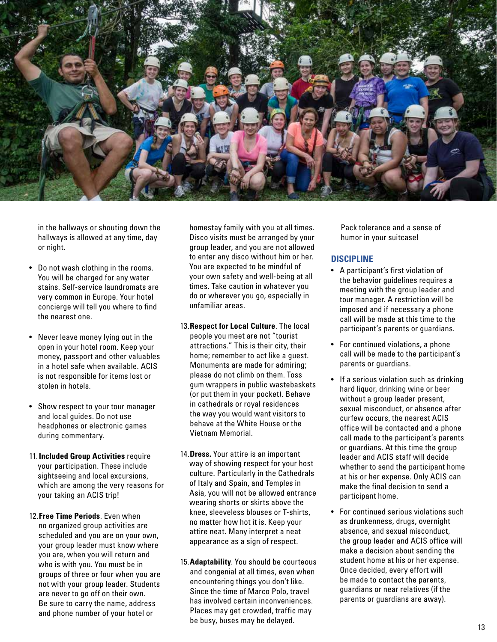

in the hallways or shouting down the hallways is allowed at any time, day or night.

- Do not wash clothing in the rooms. You will be charged for any water stains. Self-service laundromats are very common in Europe. Your hotel concierge will tell you where to find the nearest one.
- Never leave money lying out in the open in your hotel room. Keep your money, passport and other valuables in a hotel safe when available. ACIS is not responsible for items lost or stolen in hotels.
- Show respect to your tour manager and local guides. Do not use headphones or electronic games during commentary.
- 11.**Included Group Activities** require your participation. These include sightseeing and local excursions, which are among the very reasons for your taking an ACIS trip!
- 12.**Free Time Periods**. Even when no organized group activities are scheduled and you are on your own, your group leader must know where you are, when you will return and who is with you. You must be in groups of three or four when you are not with your group leader. Students are never to go off on their own. Be sure to carry the name, address and phone number of your hotel or

homestay family with you at all times. Disco visits must be arranged by your group leader, and you are not allowed to enter any disco without him or her. You are expected to be mindful of your own safety and well-being at all times. Take caution in whatever you do or wherever you go, especially in unfamiliar areas.

- 13. **Respect for Local Culture**. The local people you meet are not "tourist attractions." This is their city, their home; remember to act like a guest. Monuments are made for admiring; please do not climb on them. Toss gum wrappers in public wastebaskets (or put them in your pocket). Behave in cathedrals or royal residences the way you would want visitors to behave at the White House or the Vietnam Memorial.
- 14.**Dress.** Your attire is an important way of showing respect for your host culture. Particularly in the Cathedrals of Italy and Spain, and Temples in Asia, you will not be allowed entrance wearing shorts or skirts above the knee, sleeveless blouses or T-shirts, no matter how hot it is. Keep your attire neat. Many interpret a neat appearance as a sign of respect.
- 15.**Adaptability**. You should be courteous and congenial at all times, even when encountering things you don't like. Since the time of Marco Polo, travel has involved certain inconveniences. Places may get crowded, traffic may be busy, buses may be delayed.

Pack tolerance and a sense of humor in your suitcase!

#### **DISCIPLINE**

- A participant's first violation of the behavior guidelines requires a meeting with the group leader and tour manager. A restriction will be imposed and if necessary a phone call will be made at this time to the participant's parents or guardians.
- For continued violations, a phone call will be made to the participant's parents or guardians.
- If a serious violation such as drinking hard liquor, drinking wine or beer without a group leader present, sexual misconduct, or absence after curfew occurs, the nearest ACIS office will be contacted and a phone call made to the participant's parents or guardians. At this time the group leader and ACIS staff will decide whether to send the participant home at his or her expense. Only ACIS can make the final decision to send a participant home.
- For continued serious violations such as drunkenness, drugs, overnight absence, and sexual misconduct, the group leader and ACIS office will make a decision about sending the student home at his or her expense. Once decided, every effort will be made to contact the parents, guardians or near relatives (if the parents or guardians are away).